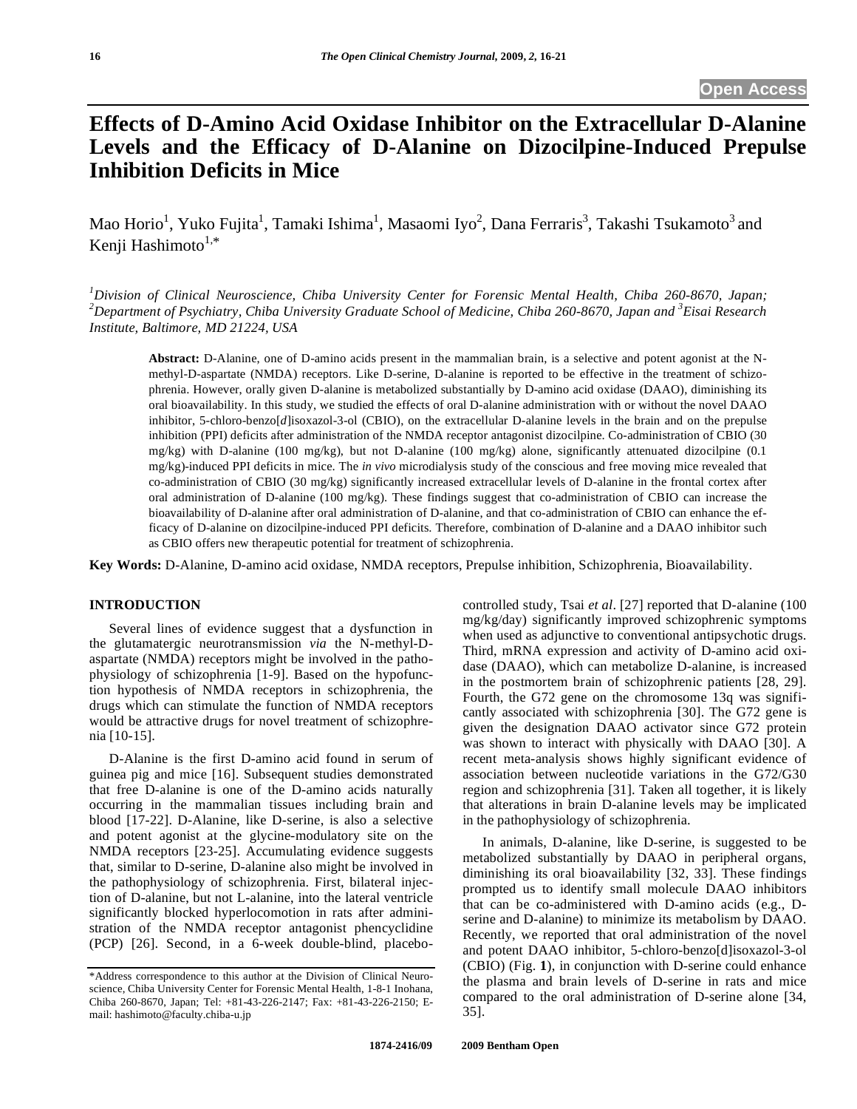# **Effects of D-Amino Acid Oxidase Inhibitor on the Extracellular D-Alanine Levels and the Efficacy of D-Alanine on Dizocilpine-Induced Prepulse Inhibition Deficits in Mice**

Mao Horio $^1$ , Yuko Fujita $^1$ , Tamaki Ishima $^1$ , Masaomi Iyo $^2$ , Dana Ferraris $^3$ , Takashi Tsukamoto $^3$  and Kenji Hashimoto $1,*$ 

*1 Division of Clinical Neuroscience, Chiba University Center for Forensic Mental Health, Chiba 260-8670, Japan; 2 Department of Psychiatry, Chiba University Graduate School of Medicine, Chiba 260-8670, Japan and <sup>3</sup> Eisai Research Institute, Baltimore, MD 21224, USA* 

**Abstract:** D-Alanine, one of D-amino acids present in the mammalian brain, is a selective and potent agonist at the Nmethyl-D-aspartate (NMDA) receptors. Like D-serine, D-alanine is reported to be effective in the treatment of schizophrenia. However, orally given D-alanine is metabolized substantially by D-amino acid oxidase (DAAO), diminishing its oral bioavailability. In this study, we studied the effects of oral D-alanine administration with or without the novel DAAO inhibitor, 5-chloro-benzo[*d*]isoxazol-3-ol (CBIO), on the extracellular D-alanine levels in the brain and on the prepulse inhibition (PPI) deficits after administration of the NMDA receptor antagonist dizocilpine. Co-administration of CBIO (30 mg/kg) with D-alanine (100 mg/kg), but not D-alanine (100 mg/kg) alone, significantly attenuated dizocilpine (0.1 mg/kg)-induced PPI deficits in mice. The *in vivo* microdialysis study of the conscious and free moving mice revealed that co-administration of CBIO (30 mg/kg) significantly increased extracellular levels of D-alanine in the frontal cortex after oral administration of D-alanine (100 mg/kg). These findings suggest that co-administration of CBIO can increase the bioavailability of D-alanine after oral administration of D-alanine, and that co-administration of CBIO can enhance the efficacy of D-alanine on dizocilpine-induced PPI deficits. Therefore, combination of D-alanine and a DAAO inhibitor such as CBIO offers new therapeutic potential for treatment of schizophrenia.

**Key Words:** D-Alanine, D-amino acid oxidase, NMDA receptors, Prepulse inhibition, Schizophrenia, Bioavailability.

# **INTRODUCTION**

 Several lines of evidence suggest that a dysfunction in the glutamatergic neurotransmission *via* the N-methyl-Daspartate (NMDA) receptors might be involved in the pathophysiology of schizophrenia [1-9]. Based on the hypofunction hypothesis of NMDA receptors in schizophrenia, the drugs which can stimulate the function of NMDA receptors would be attractive drugs for novel treatment of schizophrenia [10-15].

 D-Alanine is the first D-amino acid found in serum of guinea pig and mice [16]. Subsequent studies demonstrated that free D-alanine is one of the D-amino acids naturally occurring in the mammalian tissues including brain and blood [17-22]. D-Alanine, like D-serine, is also a selective and potent agonist at the glycine-modulatory site on the NMDA receptors [23-25]. Accumulating evidence suggests that, similar to D-serine, D-alanine also might be involved in the pathophysiology of schizophrenia. First, bilateral injection of D-alanine, but not L-alanine, into the lateral ventricle significantly blocked hyperlocomotion in rats after administration of the NMDA receptor antagonist phencyclidine (PCP) [26]. Second, in a 6-week double-blind, placebocontrolled study, Tsai *et al*. [27] reported that D-alanine (100 mg/kg/day) significantly improved schizophrenic symptoms when used as adjunctive to conventional antipsychotic drugs. Third, mRNA expression and activity of D-amino acid oxidase (DAAO), which can metabolize D-alanine, is increased in the postmortem brain of schizophrenic patients [28, 29]. Fourth, the G72 gene on the chromosome 13q was significantly associated with schizophrenia [30]. The G72 gene is given the designation DAAO activator since G72 protein was shown to interact with physically with DAAO [30]. A recent meta-analysis shows highly significant evidence of association between nucleotide variations in the G72/G30 region and schizophrenia [31]. Taken all together, it is likely that alterations in brain D-alanine levels may be implicated in the pathophysiology of schizophrenia.

 In animals, D-alanine, like D-serine, is suggested to be metabolized substantially by DAAO in peripheral organs, diminishing its oral bioavailability [32, 33]. These findings prompted us to identify small molecule DAAO inhibitors that can be co-administered with D-amino acids (e.g., Dserine and D-alanine) to minimize its metabolism by DAAO. Recently, we reported that oral administration of the novel and potent DAAO inhibitor, 5-chloro-benzo[d]isoxazol-3-ol (CBIO) (Fig. **1**), in conjunction with D-serine could enhance the plasma and brain levels of D-serine in rats and mice compared to the oral administration of D-serine alone [34, 35].

<sup>\*</sup>Address correspondence to this author at the Division of Clinical Neuroscience, Chiba University Center for Forensic Mental Health, 1-8-1 Inohana, Chiba 260-8670, Japan; Tel: +81-43-226-2147; Fax: +81-43-226-2150; Email: hashimoto@faculty.chiba-u.jp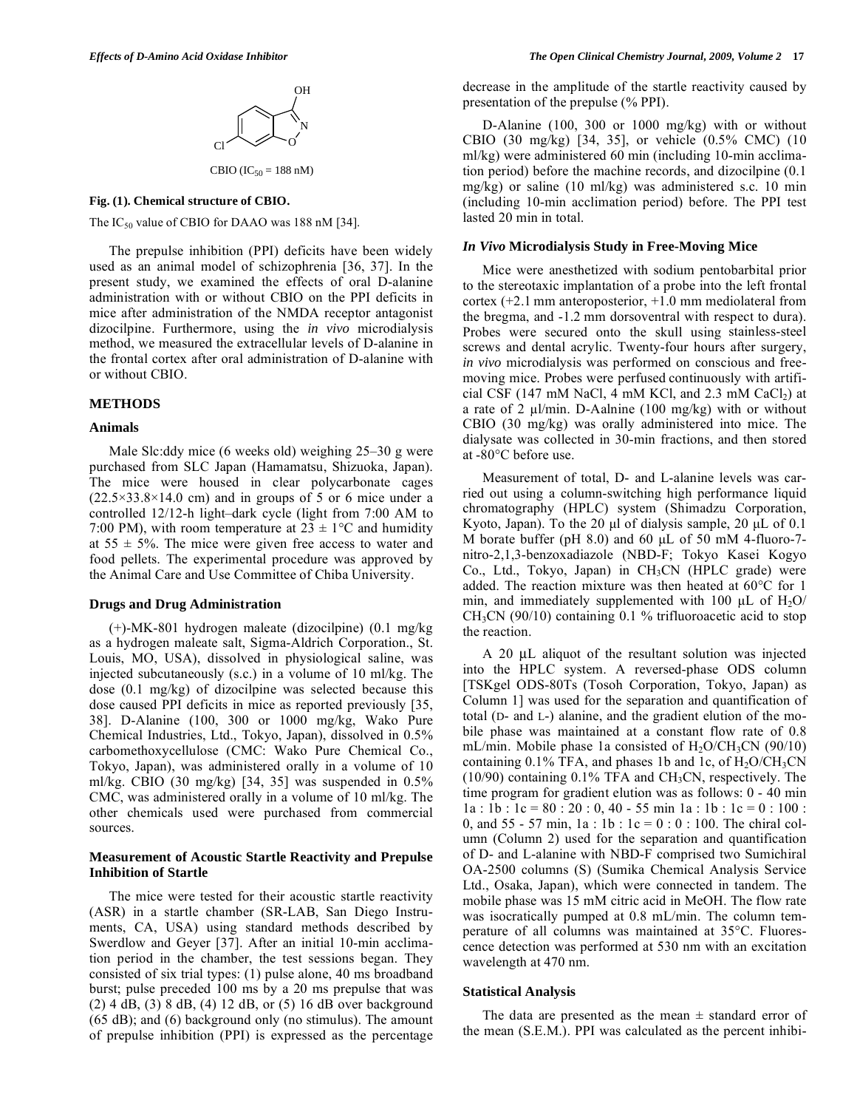

## **Fig. (1). Chemical structure of CBIO.**

The  $IC_{50}$  value of CBIO for DAAO was 188 nM [34].

 The prepulse inhibition (PPI) deficits have been widely used as an animal model of schizophrenia [36, 37]. In the present study, we examined the effects of oral D-alanine administration with or without CBIO on the PPI deficits in mice after administration of the NMDA receptor antagonist dizocilpine. Furthermore, using the *in vivo* microdialysis method, we measured the extracellular levels of D-alanine in the frontal cortex after oral administration of D-alanine with or without CBIO.

## **METHODS**

## **Animals**

 Male Slc:ddy mice (6 weeks old) weighing 25–30 g were purchased from SLC Japan (Hamamatsu, Shizuoka, Japan). The mice were housed in clear polycarbonate cages  $(22.5 \times 33.8 \times 14.0$  cm) and in groups of 5 or 6 mice under a controlled 12/12-h light–dark cycle (light from 7:00 AM to 7:00 PM), with room temperature at  $23 \pm 1$ °C and humidity at  $55 \pm 5\%$ . The mice were given free access to water and food pellets. The experimental procedure was approved by the Animal Care and Use Committee of Chiba University.

## **Drugs and Drug Administration**

 (+)-MK-801 hydrogen maleate (dizocilpine) (0.1 mg/kg as a hydrogen maleate salt, Sigma-Aldrich Corporation., St. Louis, MO, USA), dissolved in physiological saline, was injected subcutaneously (s.c.) in a volume of 10 ml/kg. The dose (0.1 mg/kg) of dizocilpine was selected because this dose caused PPI deficits in mice as reported previously [35, 38]. D-Alanine (100, 300 or 1000 mg/kg, Wako Pure Chemical Industries, Ltd., Tokyo, Japan), dissolved in 0.5% carbomethoxycellulose (CMC: Wako Pure Chemical Co., Tokyo, Japan), was administered orally in a volume of 10 ml/kg. CBIO (30 mg/kg) [34, 35] was suspended in 0.5% CMC, was administered orally in a volume of 10 ml/kg. The other chemicals used were purchased from commercial sources.

## **Measurement of Acoustic Startle Reactivity and Prepulse Inhibition of Startle**

 The mice were tested for their acoustic startle reactivity (ASR) in a startle chamber (SR-LAB, San Diego Instruments, CA, USA) using standard methods described by Swerdlow and Geyer [37]. After an initial 10-min acclimation period in the chamber, the test sessions began. They consisted of six trial types: (1) pulse alone, 40 ms broadband burst; pulse preceded 100 ms by a 20 ms prepulse that was (2) 4 dB, (3) 8 dB, (4) 12 dB, or (5) 16 dB over background (65 dB); and (6) background only (no stimulus). The amount of prepulse inhibition (PPI) is expressed as the percentage decrease in the amplitude of the startle reactivity caused by presentation of the prepulse (% PPI).

 D-Alanine (100, 300 or 1000 mg/kg) with or without CBIO (30 mg/kg) [34, 35], or vehicle (0.5% CMC) (10 ml/kg) were administered 60 min (including 10-min acclimation period) before the machine records, and dizocilpine (0.1 mg/kg) or saline (10 ml/kg) was administered s.c. 10 min (including 10-min acclimation period) before. The PPI test lasted 20 min in total.

## *In Vivo* **Microdialysis Study in Free-Moving Mice**

 Mice were anesthetized with sodium pentobarbital prior to the stereotaxic implantation of a probe into the left frontal cortex (+2.1 mm anteroposterior, +1.0 mm mediolateral from the bregma, and -1.2 mm dorsoventral with respect to dura). Probes were secured onto the skull using stainless-steel screws and dental acrylic. Twenty-four hours after surgery, *in vivo* microdialysis was performed on conscious and freemoving mice. Probes were perfused continuously with artificial CSF (147 mM NaCl, 4 mM KCl, and 2.3 mM CaCl<sub>2</sub>) at a rate of 2  $\mu$ l/min. D-Aalnine (100 mg/kg) with or without CBIO (30 mg/kg) was orally administered into mice. The dialysate was collected in 30-min fractions, and then stored at -80°C before use.

 Measurement of total, D- and L-alanine levels was carried out using a column-switching high performance liquid chromatography (HPLC) system (Shimadzu Corporation, Kyoto, Japan). To the 20 μl of dialysis sample, 20 μL of 0.1 M borate buffer (pH 8.0) and 60 μL of 50 mM 4-fluoro-7 nitro-2,1,3-benzoxadiazole (NBD-F; Tokyo Kasei Kogyo Co., Ltd., Tokyo, Japan) in  $CH<sub>3</sub>CN$  (HPLC grade) were added. The reaction mixture was then heated at 60°C for 1 min, and immediately supplemented with 100  $\mu$ L of H<sub>2</sub>O/  $CH<sub>3</sub>CN$  (90/10) containing 0.1 % trifluoroacetic acid to stop the reaction.

 A 20 μL aliquot of the resultant solution was injected into the HPLC system. A reversed-phase ODS column [TSKgel ODS-80Ts (Tosoh Corporation, Tokyo, Japan) as Column 1] was used for the separation and quantification of total (D- and L-) alanine, and the gradient elution of the mobile phase was maintained at a constant flow rate of 0.8 mL/min. Mobile phase 1a consisted of  $H_2O/CH_3CN$  (90/10) containing  $0.1\%$  TFA, and phases 1b and 1c, of  $H_2O/CH_3CN$ (10/90) containing 0.1% TFA and CH3CN, respectively. The time program for gradient elution was as follows: 0 - 40 min  $1a : 1b : 1c = 80 : 20 : 0, 40 - 55$  min  $1a : 1b : 1c = 0 : 100$ : 0, and 55 - 57 min, 1a : 1b :  $1c = 0$  : 0 : 100. The chiral column (Column 2) used for the separation and quantification of D- and L-alanine with NBD-F comprised two Sumichiral OA-2500 columns (S) (Sumika Chemical Analysis Service Ltd., Osaka, Japan), which were connected in tandem. The mobile phase was 15 mM citric acid in MeOH. The flow rate was isocratically pumped at 0.8 mL/min. The column temperature of all columns was maintained at 35°C. Fluorescence detection was performed at 530 nm with an excitation wavelength at 470 nm.

## **Statistical Analysis**

The data are presented as the mean  $\pm$  standard error of the mean (S.E.M.). PPI was calculated as the percent inhibi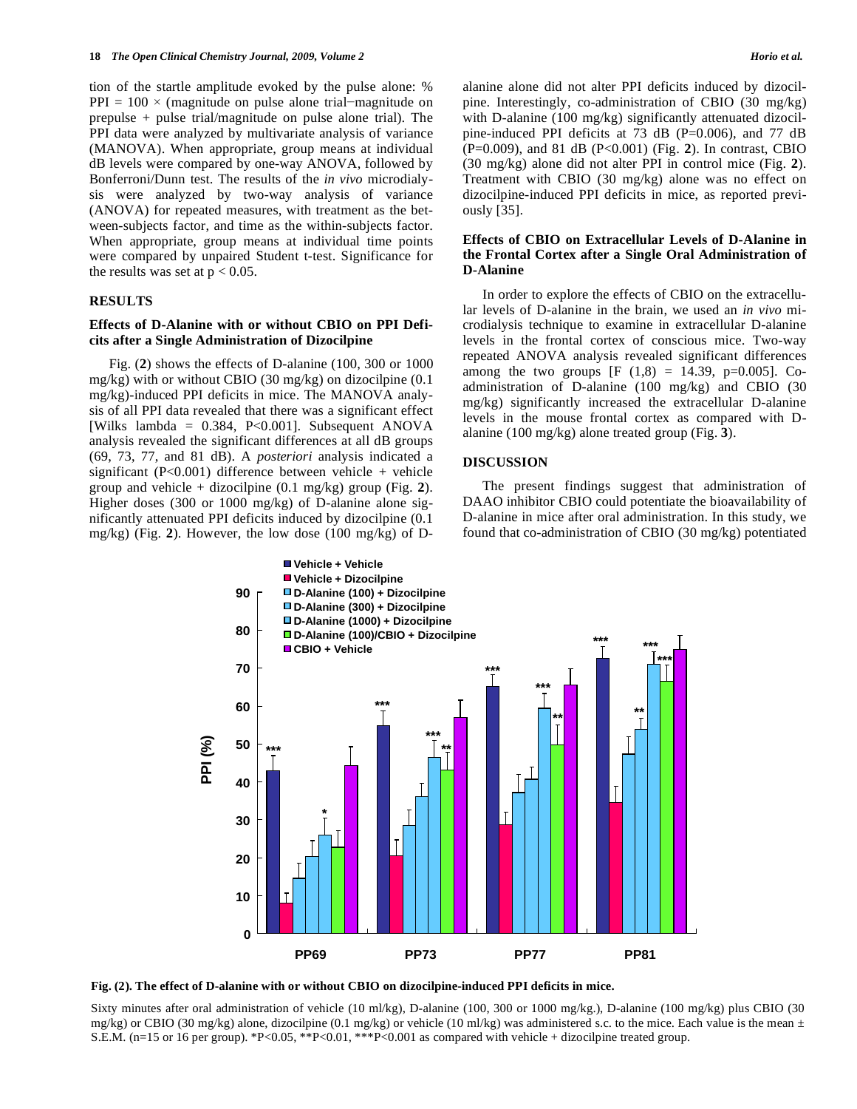tion of the startle amplitude evoked by the pulse alone: %  $PPI = 100 \times (magnitude on pulse alone trial–magnitude on)$ prepulse + pulse trial/magnitude on pulse alone trial). The PPI data were analyzed by multivariate analysis of variance (MANOVA). When appropriate, group means at individual dB levels were compared by one-way ANOVA, followed by Bonferroni/Dunn test. The results of the *in vivo* microdialysis were analyzed by two-way analysis of variance (ANOVA) for repeated measures, with treatment as the between-subjects factor, and time as the within-subjects factor. When appropriate, group means at individual time points were compared by unpaired Student t-test. Significance for the results was set at  $p < 0.05$ .

#### **RESULTS**

## **Effects of D-Alanine with or without CBIO on PPI Deficits after a Single Administration of Dizocilpine**

 Fig. (**2**) shows the effects of D-alanine (100, 300 or 1000 mg/kg) with or without CBIO (30 mg/kg) on dizocilpine (0.1 mg/kg)-induced PPI deficits in mice. The MANOVA analysis of all PPI data revealed that there was a significant effect [Wilks lambda = 0.384, P<0.001]. Subsequent ANOVA analysis revealed the significant differences at all dB groups (69, 73, 77, and 81 dB). A *posteriori* analysis indicated a significant (P<0.001) difference between vehicle + vehicle group and vehicle + dizocilpine (0.1 mg/kg) group (Fig. **2**). Higher doses (300 or 1000 mg/kg) of D-alanine alone significantly attenuated PPI deficits induced by dizocilpine (0.1 mg/kg) (Fig. **2**). However, the low dose (100 mg/kg) of D-

alanine alone did not alter PPI deficits induced by dizocilpine. Interestingly, co-administration of CBIO (30 mg/kg) with D-alanine (100 mg/kg) significantly attenuated dizocilpine-induced PPI deficits at 73 dB (P=0.006), and 77 dB (P=0.009), and 81 dB (P<0.001) (Fig. **2**). In contrast, CBIO (30 mg/kg) alone did not alter PPI in control mice (Fig. **2**). Treatment with CBIO (30 mg/kg) alone was no effect on dizocilpine-induced PPI deficits in mice, as reported previously [35].

## **Effects of CBIO on Extracellular Levels of D-Alanine in the Frontal Cortex after a Single Oral Administration of D-Alanine**

 In order to explore the effects of CBIO on the extracellular levels of D-alanine in the brain, we used an *in vivo* microdialysis technique to examine in extracellular D-alanine levels in the frontal cortex of conscious mice. Two-way repeated ANOVA analysis revealed significant differences among the two groups [F  $(1,8) = 14.39$ , p=0.005]. Coadministration of D-alanine (100 mg/kg) and CBIO (30 mg/kg) significantly increased the extracellular D-alanine levels in the mouse frontal cortex as compared with Dalanine (100 mg/kg) alone treated group (Fig. **3**).

## **DISCUSSION**

 The present findings suggest that administration of DAAO inhibitor CBIO could potentiate the bioavailability of D-alanine in mice after oral administration. In this study, we found that co-administration of CBIO (30 mg/kg) potentiated



**Fig. (2). The effect of D-alanine with or without CBIO on dizocilpine-induced PPI deficits in mice.** 

Sixty minutes after oral administration of vehicle (10 ml/kg), D-alanine (100, 300 or 1000 mg/kg.), D-alanine (100 mg/kg) plus CBIO (30 mg/kg) or CBIO (30 mg/kg) alone, dizocilpine (0.1 mg/kg) or vehicle (10 ml/kg) was administered s.c. to the mice. Each value is the mean  $\pm$ S.E.M. (n=15 or 16 per group). \*P<0.05, \*\*P<0.01, \*\*\*P<0.001 as compared with vehicle + dizocilpine treated group.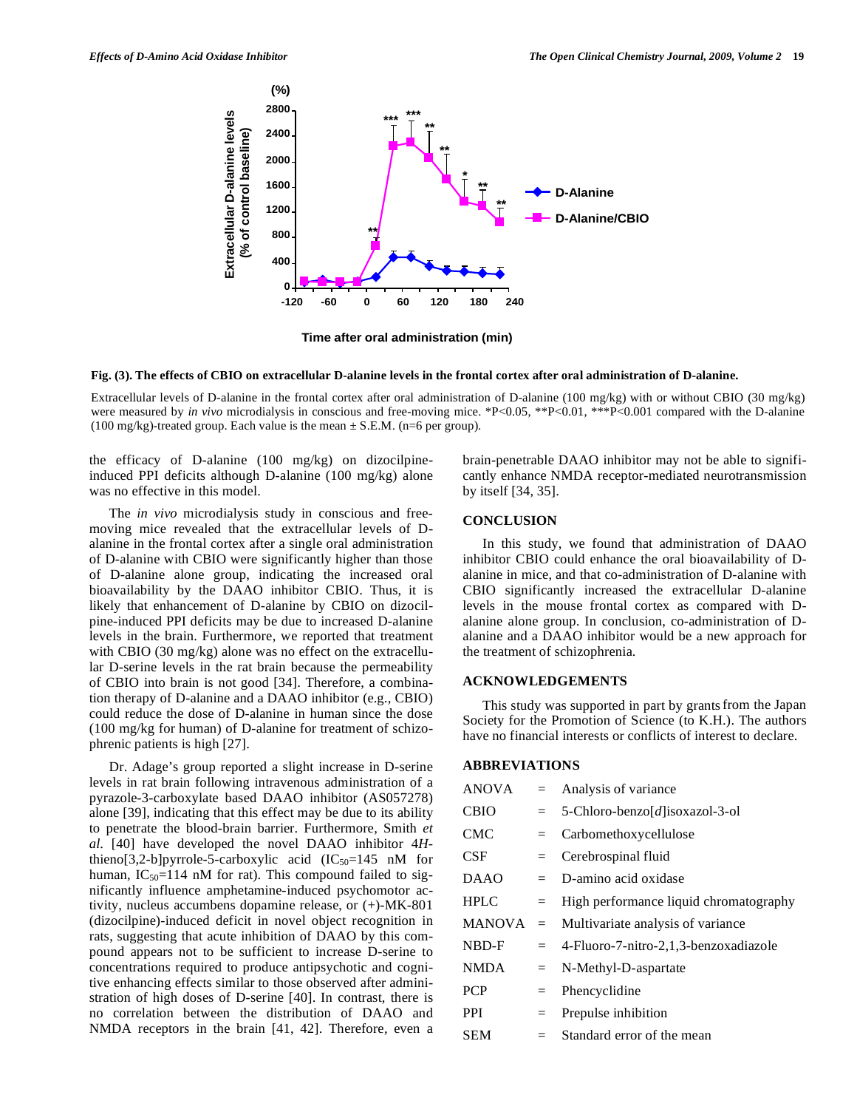

**Time after oral administration (min)**

#### **Fig. (3). The effects of CBIO on extracellular D-alanine levels in the frontal cortex after oral administration of D-alanine.**

Extracellular levels of D-alanine in the frontal cortex after oral administration of D-alanine (100 mg/kg) with or without CBIO (30 mg/kg) were measured by *in vivo* microdialysis in conscious and free-moving mice. \*P<0.05, \*\*P<0.01, \*\*\*P<0.001 compared with the D-alanine (100 mg/kg)-treated group. Each value is the mean  $\pm$  S.E.M. (n=6 per group).

the efficacy of D-alanine (100 mg/kg) on dizocilpineinduced PPI deficits although D-alanine (100 mg/kg) alone was no effective in this model.

 The *in vivo* microdialysis study in conscious and freemoving mice revealed that the extracellular levels of Dalanine in the frontal cortex after a single oral administration of D-alanine with CBIO were significantly higher than those of D-alanine alone group, indicating the increased oral bioavailability by the DAAO inhibitor CBIO. Thus, it is likely that enhancement of D-alanine by CBIO on dizocilpine-induced PPI deficits may be due to increased D-alanine levels in the brain. Furthermore, we reported that treatment with CBIO (30 mg/kg) alone was no effect on the extracellular D-serine levels in the rat brain because the permeability of CBIO into brain is not good [34]. Therefore, a combination therapy of D-alanine and a DAAO inhibitor (e.g., CBIO) could reduce the dose of D-alanine in human since the dose (100 mg/kg for human) of D-alanine for treatment of schizophrenic patients is high [27].

 Dr. Adage's group reported a slight increase in D-serine levels in rat brain following intravenous administration of a pyrazole-3-carboxylate based DAAO inhibitor (AS057278) alone [39], indicating that this effect may be due to its ability to penetrate the blood-brain barrier. Furthermore, Smith *et al*. [40] have developed the novel DAAO inhibitor 4*H*thieno[3,2-b]pyrrole-5-carboxylic acid  $(IC_{50}=145 \text{ nM}$  for human,  $IC_{50}=114$  nM for rat). This compound failed to significantly influence amphetamine-induced psychomotor activity, nucleus accumbens dopamine release, or (+)-MK-801 (dizocilpine)-induced deficit in novel object recognition in rats, suggesting that acute inhibition of DAAO by this compound appears not to be sufficient to increase D-serine to concentrations required to produce antipsychotic and cognitive enhancing effects similar to those observed after administration of high doses of D-serine [40]. In contrast, there is no correlation between the distribution of DAAO and NMDA receptors in the brain [41, 42]. Therefore, even a brain-penetrable DAAO inhibitor may not be able to significantly enhance NMDA receptor-mediated neurotransmission by itself [34, 35].

#### **CONCLUSION**

 In this study, we found that administration of DAAO inhibitor CBIO could enhance the oral bioavailability of Dalanine in mice, and that co-administration of D-alanine with CBIO significantly increased the extracellular D-alanine levels in the mouse frontal cortex as compared with Dalanine alone group. In conclusion, co-administration of Dalanine and a DAAO inhibitor would be a new approach for the treatment of schizophrenia.

#### **ACKNOWLEDGEMENTS**

 This study was supported in part by grantsfrom the Japan Society for the Promotion of Science (to K.H.). The authors have no financial interests or conflicts of interest to declare.

### **ABBREVIATIONS**

| <b>ANOVA</b> |         | $=$ Analysis of variance                  |
|--------------|---------|-------------------------------------------|
| <b>CBIO</b>  | $=$     | 5-Chloro-benzo[d]isoxazol-3-ol            |
| CMC          | $=$     | Carbomethoxycellulose                     |
| CSF.         | $=$     | Cerebrospinal fluid                       |
| DAAO         | $=$ $-$ | D-amino acid oxidase                      |
| <b>HPLC</b>  | $=$     | High performance liquid chromatography    |
| MANOVA       | $=$     | Multivariate analysis of variance         |
| NBD-F        |         | $=$ 4-Fluoro-7-nitro-2,1,3-benzoxadiazole |
| NMDA         | $=$     | N-Methyl-D-aspartate                      |
| <b>PCP</b>   | $=$     | Phencyclidine                             |
| <b>PPI</b>   | $=$     | Prepulse inhibition                       |
| SEM          | $=$     | Standard error of the mean                |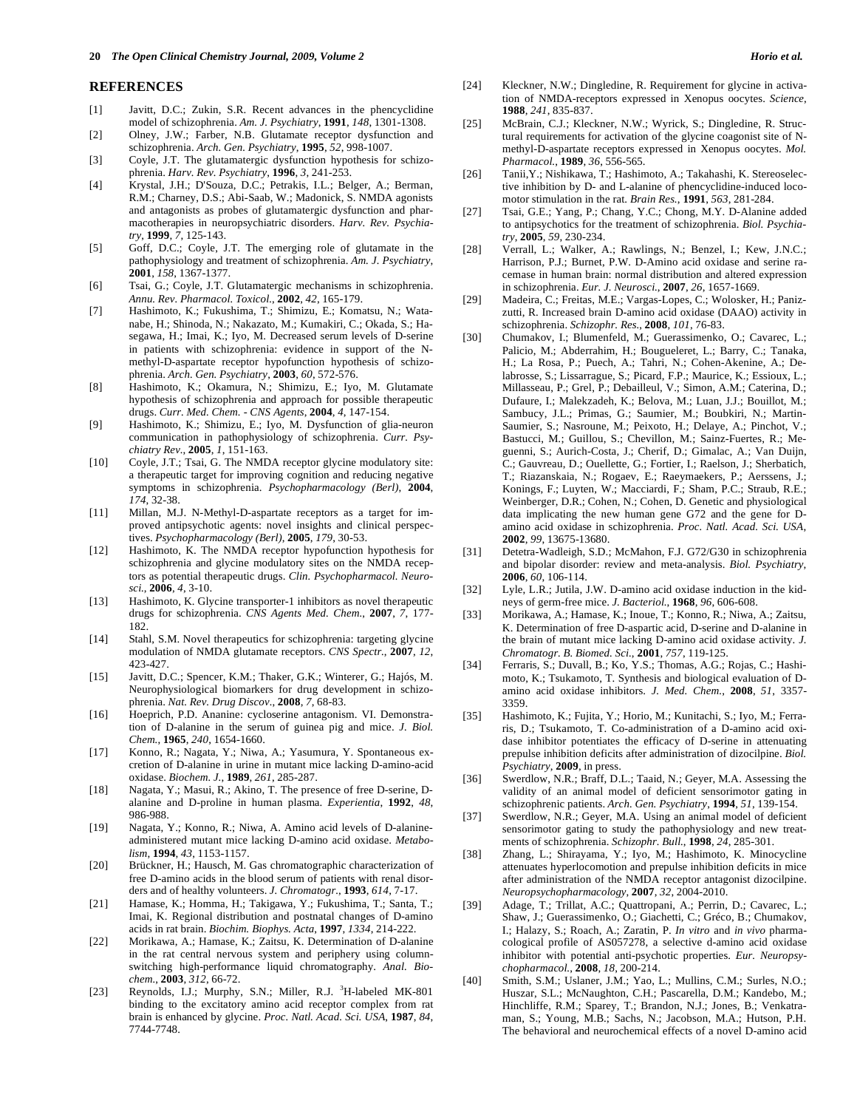#### **REFERENCES**

- [1] Javitt, D.C.; Zukin, S.R. Recent advances in the phencyclidine model of schizophrenia. *Am. J. Psychiatry*, **1991**, *148*, 1301-1308.
- [2] Olney, J.W.; Farber, N.B. Glutamate receptor dysfunction and schizophrenia. *Arch. Gen. Psychiatry*, **1995**, *52*, 998-1007.
- [3] Coyle, J.T. The glutamatergic dysfunction hypothesis for schizophrenia. *Harv. Rev. Psychiatry*, **1996**, *3*, 241-253.
- [4] Krystal, J.H.; D'Souza, D.C.; Petrakis, I.L.; Belger, A.; Berman, R.M.; Charney, D.S.; Abi-Saab, W.; Madonick, S. NMDA agonists and antagonists as probes of glutamatergic dysfunction and pharmacotherapies in neuropsychiatric disorders. *Harv. Rev. Psychiatry*, **1999**, *7*, 125-143.
- [5] Goff, D.C.; Coyle, J.T. The emerging role of glutamate in the pathophysiology and treatment of schizophrenia. *Am. J. Psychiatry*, **2001**, *158*, 1367-1377.
- [6] Tsai, G.; Coyle, J.T. Glutamatergic mechanisms in schizophrenia. *Annu. Rev. Pharmacol. Toxicol.*, **2002**, *42*, 165-179.
- [7] Hashimoto, K.; Fukushima, T.; Shimizu, E.; Komatsu, N.; Watanabe, H.; Shinoda, N.; Nakazato, M.; Kumakiri, C.; Okada, S.; Hasegawa, H.; Imai, K.; Iyo, M. Decreased serum levels of D-serine in patients with schizophrenia: evidence in support of the Nmethyl-D-aspartate receptor hypofunction hypothesis of schizophrenia. *Arch. Gen. Psychiatry*, **2003**, *60*, 572-576.
- [8] Hashimoto, K.; Okamura, N.; Shimizu, E.; Iyo, M. Glutamate hypothesis of schizophrenia and approach for possible therapeutic drugs. *Curr. Med. Chem. - CNS Agents*, **2004**, *4*, 147-154.
- [9] Hashimoto, K.; Shimizu, E.; Iyo, M. Dysfunction of glia-neuron communication in pathophysiology of schizophrenia. *Curr. Psychiatry Rev.*, **2005**, *1*, 151-163.
- [10] Coyle, J.T.; Tsai, G. The NMDA receptor glycine modulatory site: a therapeutic target for improving cognition and reducing negative symptoms in schizophrenia. *Psychopharmacology (Berl)*, **2004**, *174*, 32-38.
- [11] Millan, M.J. N-Methyl-D-aspartate receptors as a target for improved antipsychotic agents: novel insights and clinical perspectives. *Psychopharmacology (Berl)*, **2005**, *179*, 30-53.
- [12] Hashimoto, K. The NMDA receptor hypofunction hypothesis for schizophrenia and glycine modulatory sites on the NMDA receptors as potential therapeutic drugs. *Clin. Psychopharmacol. Neurosci.*, **2006**, *4*, 3-10.
- [13] Hashimoto, K. Glycine transporter-1 inhibitors as novel therapeutic drugs for schizophrenia. *CNS Agents Med. Chem.*, **2007**, *7*, 177- 182.
- [14] Stahl, S.M. Novel therapeutics for schizophrenia: targeting glycine modulation of NMDA glutamate receptors. *CNS Spectr.*, **2007**, *12*, 423-427.
- [15] Javitt, D.C.; Spencer, K.M.; Thaker, G.K.; Winterer, G.; Hajós, M. Neurophysiological biomarkers for drug development in schizophrenia. *Nat. Rev. Drug Discov.*, **2008**, *7*, 68-83.
- [16] Hoeprich, P.D. Ananine: cycloserine antagonism. VI. Demonstration of D-alanine in the serum of guinea pig and mice. *J. Biol. Chem.*, **1965**, *240*, 1654-1660.
- [17] Konno, R.; Nagata, Y.; Niwa, A.; Yasumura, Y. Spontaneous excretion of D-alanine in urine in mutant mice lacking D-amino-acid oxidase. *Biochem. J.*, **1989**, *261*, 285-287.
- [18] Nagata, Y.; Masui, R.; Akino, T. The presence of free D-serine, Dalanine and D-proline in human plasma. *Experientia*, **1992**, *48*, 986-988.
- [19] Nagata, Y.; Konno, R.; Niwa, A. Amino acid levels of D-alanineadministered mutant mice lacking D-amino acid oxidase. *Metabolism*, **1994**, *43*, 1153-1157.
- [20] Brückner, H.; Hausch, M. Gas chromatographic characterization of free D-amino acids in the blood serum of patients with renal disorders and of healthy volunteers. *J. Chromatogr.*, **1993**, *614*, 7-17.
- [21] Hamase, K.; Homma, H.; Takigawa, Y.; Fukushima, T.; Santa, T.; Imai, K. Regional distribution and postnatal changes of D-amino acids in rat brain. *Biochim. Biophys. Acta*, **1997**, *1334*, 214-222.
- [22] Morikawa, A.; Hamase, K.; Zaitsu, K. Determination of D-alanine in the rat central nervous system and periphery using columnswitching high-performance liquid chromatography. *Anal. Biochem.*, **2003**, *312*, 66-72.
- [23] Reynolds, I.J.; Murphy, S.N.; Miller, R.J. <sup>3</sup>H-labeled MK-801 binding to the excitatory amino acid receptor complex from rat brain is enhanced by glycine. *Proc. Natl. Acad. Sci. USA*, **1987**, *84*, 7744-7748.
- [24] Kleckner, N.W.; Dingledine, R. Requirement for glycine in activation of NMDA-receptors expressed in Xenopus oocytes. *Science*, **1988**, *241*, 835-837.
- [25] McBrain, C.J.; Kleckner, N.W.; Wyrick, S.; Dingledine, R. Structural requirements for activation of the glycine coagonist site of Nmethyl-D-aspartate receptors expressed in Xenopus oocytes. *Mol. Pharmacol.*, **1989**, *36*, 556-565.
- [26] Tanii,Y.; Nishikawa, T.; Hashimoto, A.; Takahashi, K. Stereoselective inhibition by D- and L-alanine of phencyclidine-induced locomotor stimulation in the rat. *Brain Res.*, **1991**, *563*, 281-284.
- [27] Tsai, G.E.; Yang, P.; Chang, Y.C.; Chong, M.Y. D-Alanine added to antipsychotics for the treatment of schizophrenia. *Biol. Psychiatry*, **2005**, *59*, 230-234.
- [28] Verrall, L.; Walker, A.; Rawlings, N.; Benzel, I.; Kew, J.N.C.; Harrison, P.J.; Burnet, P.W. D-Amino acid oxidase and serine racemase in human brain: normal distribution and altered expression in schizophrenia. *Eur. J. Neurosci.*, **2007**, *26*, 1657-1669.
- [29] Madeira, C.; Freitas, M.E.; Vargas-Lopes, C.; Wolosker, H.; Panizzutti, R. Increased brain D-amino acid oxidase (DAAO) activity in schizophrenia. *Schizophr. Res.*, **2008**, *101*, 76-83.
- [30] Chumakov, I.; Blumenfeld, M.; Guerassimenko, O.; Cavarec, L.; Palicio, M.; Abderrahim, H.; Bougueleret, L.; Barry, C.; Tanaka, H.; La Rosa, P.; Puech, A.; Tahri, N.; Cohen-Akenine, A.; Delabrosse, S.; Lissarrague, S.; Picard, F.P.; Maurice, K.; Essioux, L.; Millasseau, P.; Grel, P.; Debailleul, V.; Simon, A.M.; Caterina, D.; Dufaure, I.; Malekzadeh, K.; Belova, M.; Luan, J.J.; Bouillot, M.; Sambucy, J.L.; Primas, G.; Saumier, M.; Boubkiri, N.; Martin-Saumier, S.; Nasroune, M.; Peixoto, H.; Delaye, A.; Pinchot, V.; Bastucci, M.; Guillou, S.; Chevillon, M.; Sainz-Fuertes, R.; Meguenni, S.; Aurich-Costa, J.; Cherif, D.; Gimalac, A.; Van Duijn, C.; Gauvreau, D.; Ouellette, G.; Fortier, I.; Raelson, J.; Sherbatich, T.; Riazanskaia, N.; Rogaev, E.; Raeymaekers, P.; Aerssens, J.; Konings, F.; Luyten, W.; Macciardi, F.; Sham, P.C.; Straub, R.E.; Weinberger, D.R.; Cohen, N.; Cohen, D. Genetic and physiological data implicating the new human gene G72 and the gene for Damino acid oxidase in schizophrenia. *Proc. Natl. Acad. Sci. USA*, **2002**, *99*, 13675-13680.
- [31] Detetra-Wadleigh, S.D.; McMahon, F.J. G72/G30 in schizophrenia and bipolar disorder: review and meta-analysis. *Biol. Psychiatry*, **2006**, *60*, 106-114.
- [32] Lyle, L.R.; Jutila, J.W. D-amino acid oxidase induction in the kidneys of germ-free mice. *J. Bacteriol.*, **1968**, *96*, 606-608.
- [33] Morikawa, A.; Hamase, K.; Inoue, T.; Konno, R.; Niwa, A.; Zaitsu, K. Determination of free D-aspartic acid, D-serine and D-alanine in the brain of mutant mice lacking D-amino acid oxidase activity. *J. Chromatogr. B. Biomed. Sci.*, **2001**, *757*, 119-125.
- [34] Ferraris, S.; Duvall, B.; Ko, Y.S.; Thomas, A.G.; Rojas, C.; Hashimoto, K.; Tsukamoto, T. Synthesis and biological evaluation of Damino acid oxidase inhibitors. *J. Med. Chem.*, **2008**, *51*, 3357- 3359.
- [35] Hashimoto, K.; Fujita, Y.; Horio, M.; Kunitachi, S.; Iyo, M.; Ferraris, D.; Tsukamoto, T. Co-administration of a D-amino acid oxidase inhibitor potentiates the efficacy of D-serine in attenuating prepulse inhibition deficits after administration of dizocilpine. *Biol. Psychiatry*, **2009**, in press.
- [36] Swerdlow, N.R.; Braff, D.L.; Taaid, N.; Geyer, M.A. Assessing the validity of an animal model of deficient sensorimotor gating in schizophrenic patients. *Arch. Gen. Psychiatry*, **1994**, *51*, 139-154.
- [37] Swerdlow, N.R.; Geyer, M.A. Using an animal model of deficient sensorimotor gating to study the pathophysiology and new treatments of schizophrenia. *Schizophr. Bull.*, **1998**, *24*, 285-301.
- [38] Zhang, L.; Shirayama, Y.; Iyo, M.; Hashimoto, K. Minocycline attenuates hyperlocomotion and prepulse inhibition deficits in mice after administration of the NMDA receptor antagonist dizocilpine. *Neuropsychopharmacology*, **2007**, *32*, 2004-2010.
- [39] Adage, T.; Trillat, A.C.; Quattropani, A.; Perrin, D.; Cavarec, L.; Shaw, J.; Guerassimenko, O.; Giachetti, C.; Gréco, B.; Chumakov, I.; Halazy, S.; Roach, A.; Zaratin, P. *In vitro* and *in vivo* pharmacological profile of AS057278, a selective d-amino acid oxidase inhibitor with potential anti-psychotic properties. *Eur. Neuropsychopharmacol.*, **2008**, *18*, 200-214.
- [40] Smith, S.M.; Uslaner, J.M.; Yao, L.; Mullins, C.M.; Surles, N.O.; Huszar, S.L.; McNaughton, C.H.; Pascarella, D.M.; Kandebo, M.; Hinchliffe, R.M.; Sparey, T.; Brandon, N.J.; Jones, B.; Venkatraman, S.; Young, M.B.; Sachs, N.; Jacobson, M.A.; Hutson, P.H. The behavioral and neurochemical effects of a novel D-amino acid